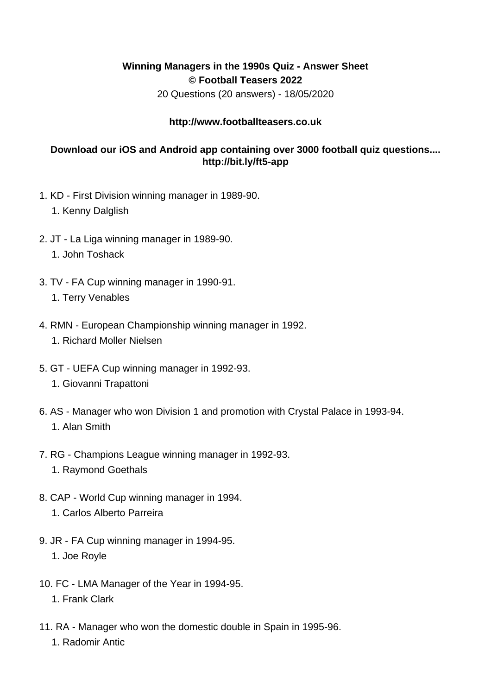## **Winning Managers in the 1990s Quiz - Answer Sheet © Football Teasers 2022**

20 Questions (20 answers) - 18/05/2020

## **http://www.footballteasers.co.uk**

## **Download our iOS and Android app containing over 3000 football quiz questions.... http://bit.ly/ft5-app**

- 1. KD First Division winning manager in 1989-90.
	- 1. Kenny Dalglish
- 2. JT La Liga winning manager in 1989-90.
	- 1. John Toshack
- 3. TV FA Cup winning manager in 1990-91.
	- 1. Terry Venables
- 4. RMN European Championship winning manager in 1992. 1. Richard Moller Nielsen
- 5. GT UEFA Cup winning manager in 1992-93. 1. Giovanni Trapattoni
- 6. AS Manager who won Division 1 and promotion with Crystal Palace in 1993-94. 1. Alan Smith
- 7. RG Champions League winning manager in 1992-93.
	- 1. Raymond Goethals
- 8. CAP World Cup winning manager in 1994.
	- 1. Carlos Alberto Parreira
- 9. JR FA Cup winning manager in 1994-95.
	- 1. Joe Royle
- 10. FC LMA Manager of the Year in 1994-95. 1. Frank Clark
- 11. RA Manager who won the domestic double in Spain in 1995-96.
	- 1. Radomir Antic